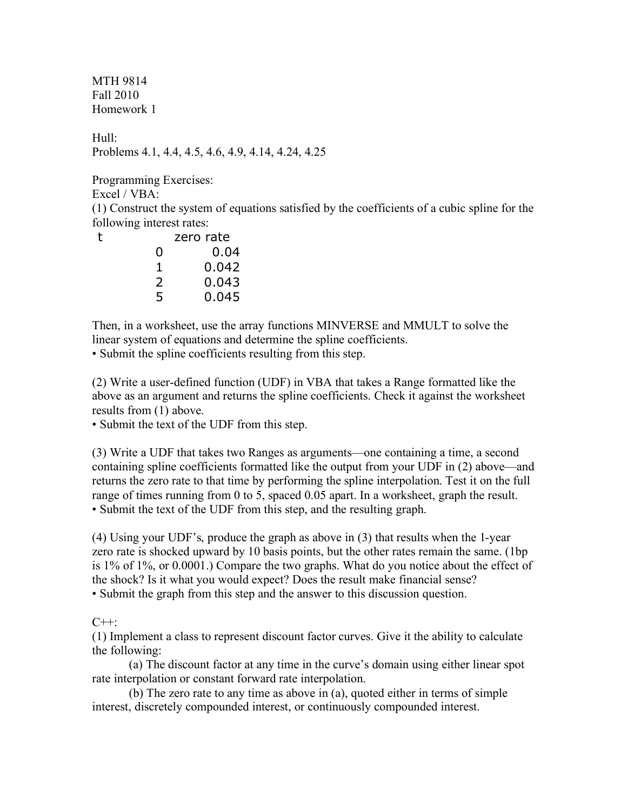MTH 9814 Fall 2010 Homework 1

Hull: Problems 4.1, 4.4, 4.5, 4.6, 4.9, 4.14, 4.24, 4.25

Programming Exercises:

Excel / VBA:

(1) Construct the system of equations satisfied by the coefficients of a cubic spline for the following interest rates:

|   | zero rate |
|---|-----------|
| O | 0.04      |
| 1 | 0.042     |
| 2 | 0.043     |
| 5 | 0.045     |
|   |           |

Then, in a worksheet, use the array functions MINVERSE and MMULT to solve the linear system of equations and determine the spline coefficients.

• Submit the spline coefficients resulting from this step.

(2) Write a user-defined function (UDF) in VBA that takes a Range formatted like the above as an argument and returns the spline coefficients. Check it against the worksheet results from (1) above.

• Submit the text of the UDF from this step.

(3) Write a UDF that takes two Ranges as arguments—one containing a time, a second containing spline coefficients formatted like the output from your UDF in (2) above—and returns the zero rate to that time by performing the spline interpolation. Test it on the full range of times running from 0 to 5, spaced 0.05 apart. In a worksheet, graph the result. • Submit the text of the UDF from this step, and the resulting graph.

(4) Using your UDF's, produce the graph as above in (3) that results when the 1-year zero rate is shocked upward by 10 basis points, but the other rates remain the same. (1bp is 1% of 1%, or 0.0001.) Compare the two graphs. What do you notice about the effect of the shock? Is it what you would expect? Does the result make financial sense? • Submit the graph from this step and the answer to this discussion question.

## $C++$

(1) Implement a class to represent discount factor curves. Give it the ability to calculate the following:

(a) The discount factor at any time in the curve's domain using either linear spot rate interpolation or constant forward rate interpolation.

(b) The zero rate to any time as above in (a), quoted either in terms of simple interest, discretely compounded interest, or continuously compounded interest.